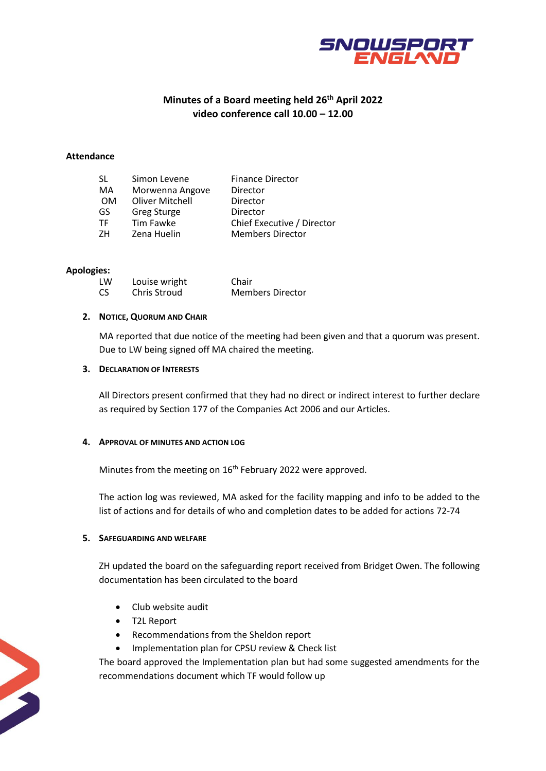

# **Minutes of a Board meeting held 26 th April 2022 video conference call 10.00 – 12.00**

#### **Attendance**

| SL. | Simon Levene           | <b>Finance Director</b>    |
|-----|------------------------|----------------------------|
| MA  | Morwenna Angove        | Director                   |
| 0M  | <b>Oliver Mitchell</b> | Director                   |
| GS  | <b>Greg Sturge</b>     | Director                   |
| TF  | Tim Fawke              | Chief Executive / Director |
| 7H  | Zena Huelin            | <b>Members Director</b>    |
|     |                        |                            |

#### **Apologies:**

| LW | Louise wright | Chair                   |
|----|---------------|-------------------------|
| CS | Chris Stroud  | <b>Members Director</b> |

#### **2. NOTICE, QUORUM AND CHAIR**

MA reported that due notice of the meeting had been given and that a quorum was present. Due to LW being signed off MA chaired the meeting.

# **3. DECLARATION OF INTERESTS**

All Directors present confirmed that they had no direct or indirect interest to further declare as required by Section 177 of the Companies Act 2006 and our Articles.

#### **4. APPROVAL OF MINUTES AND ACTION LOG**

Minutes from the meeting on 16<sup>th</sup> February 2022 were approved.

The action log was reviewed, MA asked for the facility mapping and info to be added to the list of actions and for details of who and completion dates to be added for actions 72-74

# **5. SAFEGUARDING AND WELFARE**

ZH updated the board on the safeguarding report received from Bridget Owen. The following documentation has been circulated to the board

- Club website audit
- T2L Report
- Recommendations from the Sheldon report
- Implementation plan for CPSU review & Check list

The board approved the Implementation plan but had some suggested amendments for the recommendations document which TF would follow up

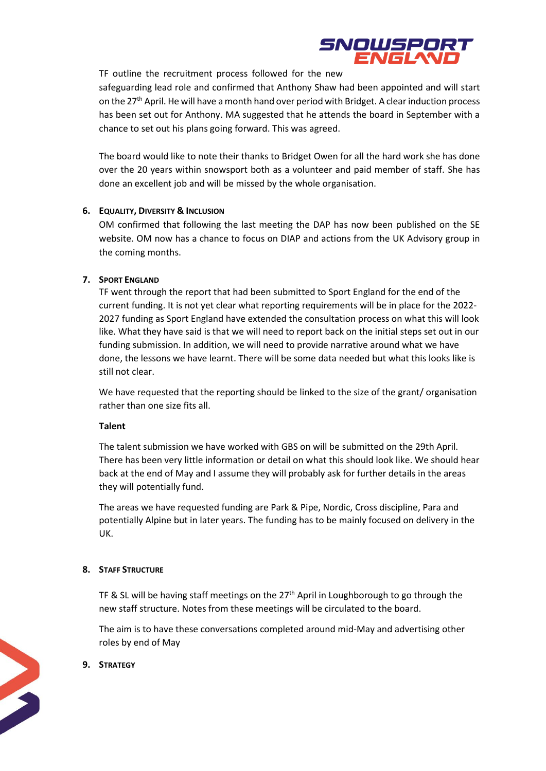

TF outline the recruitment process followed for the new

safeguarding lead role and confirmed that Anthony Shaw had been appointed and will start on the 27<sup>th</sup> April. He will have a month hand over period with Bridget. A clear induction process has been set out for Anthony. MA suggested that he attends the board in September with a chance to set out his plans going forward. This was agreed.

The board would like to note their thanks to Bridget Owen for all the hard work she has done over the 20 years within snowsport both as a volunteer and paid member of staff. She has done an excellent job and will be missed by the whole organisation.

## **6. EQUALITY, DIVERSITY & INCLUSION**

OM confirmed that following the last meeting the DAP has now been published on the SE website. OM now has a chance to focus on DIAP and actions from the UK Advisory group in the coming months.

#### **7. SPORT ENGLAND**

TF went through the report that had been submitted to Sport England for the end of the current funding. It is not yet clear what reporting requirements will be in place for the 2022- 2027 funding as Sport England have extended the consultation process on what this will look like. What they have said is that we will need to report back on the initial steps set out in our funding submission. In addition, we will need to provide narrative around what we have done, the lessons we have learnt. There will be some data needed but what this looks like is still not clear.

We have requested that the reporting should be linked to the size of the grant/organisation rather than one size fits all.

#### **Talent**

The talent submission we have worked with GBS on will be submitted on the 29th April. There has been very little information or detail on what this should look like. We should hear back at the end of May and I assume they will probably ask for further details in the areas they will potentially fund.

The areas we have requested funding are Park & Pipe, Nordic, Cross discipline, Para and potentially Alpine but in later years. The funding has to be mainly focused on delivery in the UK.

#### **8. STAFF STRUCTURE**

TF & SL will be having staff meetings on the  $27<sup>th</sup>$  April in Loughborough to go through the new staff structure. Notes from these meetings will be circulated to the board.

The aim is to have these conversations completed around mid-May and advertising other roles by end of May

## **9. STRATEGY**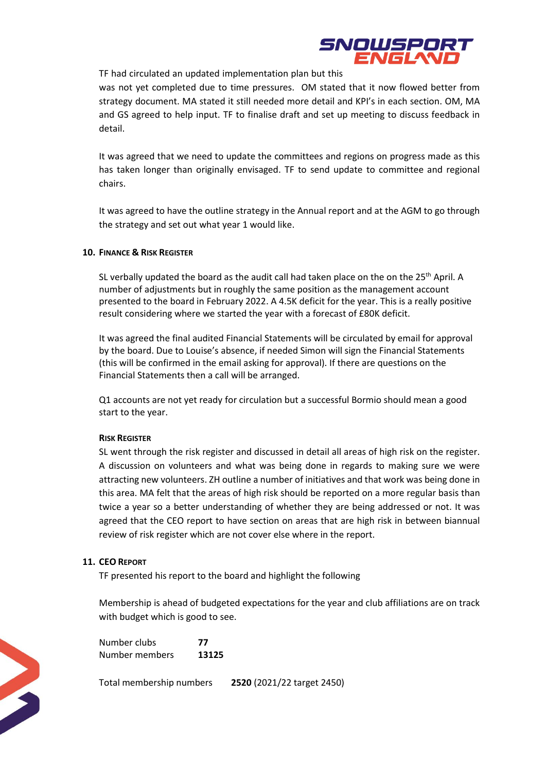

TF had circulated an updated implementation plan but this

was not yet completed due to time pressures. OM stated that it now flowed better from strategy document. MA stated it still needed more detail and KPI's in each section. OM, MA and GS agreed to help input. TF to finalise draft and set up meeting to discuss feedback in detail.

It was agreed that we need to update the committees and regions on progress made as this has taken longer than originally envisaged. TF to send update to committee and regional chairs.

It was agreed to have the outline strategy in the Annual report and at the AGM to go through the strategy and set out what year 1 would like.

#### **10. FINANCE & RISK REGISTER**

SL verbally updated the board as the audit call had taken place on the on the 25<sup>th</sup> April. A number of adjustments but in roughly the same position as the management account presented to the board in February 2022. A 4.5K deficit for the year. This is a really positive result considering where we started the year with a forecast of £80K deficit.

It was agreed the final audited Financial Statements will be circulated by email for approval by the board. Due to Louise's absence, if needed Simon will sign the Financial Statements (this will be confirmed in the email asking for approval). If there are questions on the Financial Statements then a call will be arranged.

Q1 accounts are not yet ready for circulation but a successful Bormio should mean a good start to the year.

#### **RISK REGISTER**

SL went through the risk register and discussed in detail all areas of high risk on the register. A discussion on volunteers and what was being done in regards to making sure we were attracting new volunteers. ZH outline a number of initiatives and that work was being done in this area. MA felt that the areas of high risk should be reported on a more regular basis than twice a year so a better understanding of whether they are being addressed or not. It was agreed that the CEO report to have section on areas that are high risk in between biannual review of risk register which are not cover else where in the report.

#### **11. CEO REPORT**

TF presented his report to the board and highlight the following

Membership is ahead of budgeted expectations for the year and club affiliations are on track with budget which is good to see.

Number clubs **77** Number members **13125**

Total membership numbers **2520** (2021/22 target 2450)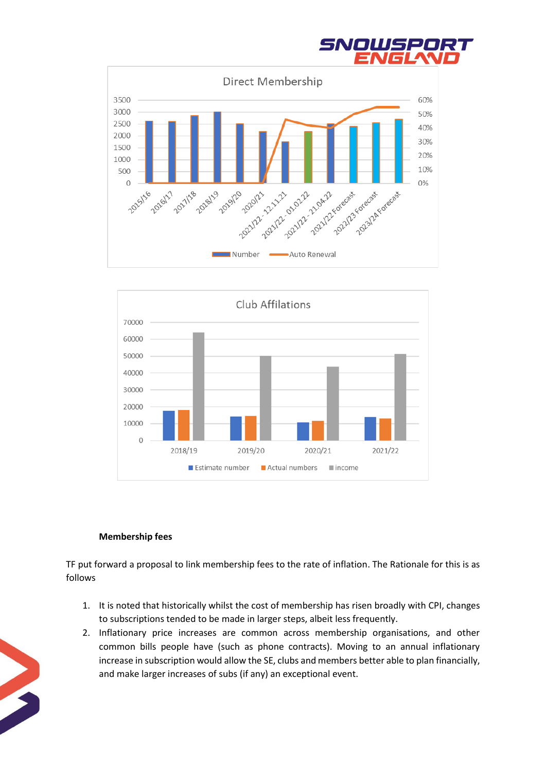





## **Membership fees**

TF put forward a proposal to link membership fees to the rate of inflation. The Rationale for this is as follows

- 1. It is noted that historically whilst the cost of membership has risen broadly with CPI, changes to subscriptions tended to be made in larger steps, albeit less frequently.
- 2. Inflationary price increases are common across membership organisations, and other common bills people have (such as phone contracts). Moving to an annual inflationary increase in subscription would allow the SE, clubs and members better able to plan financially, and make larger increases of subs (if any) an exceptional event.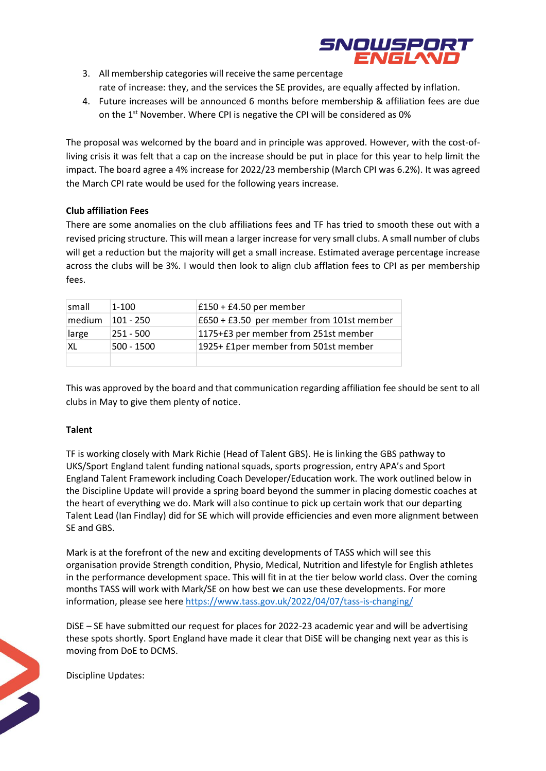

- 3. All membership categories will receive the same percentage rate of increase: they, and the services the SE provides, are equally affected by inflation.
- 4. Future increases will be announced 6 months before membership & affiliation fees are due on the 1<sup>st</sup> November. Where CPI is negative the CPI will be considered as 0%

The proposal was welcomed by the board and in principle was approved. However, with the cost-ofliving crisis it was felt that a cap on the increase should be put in place for this year to help limit the impact. The board agree a 4% increase for 2022/23 membership (March CPI was 6.2%). It was agreed the March CPI rate would be used for the following years increase.

# **Club affiliation Fees**

There are some anomalies on the club affiliations fees and TF has tried to smooth these out with a revised pricing structure. This will mean a larger increase for very small clubs. A small number of clubs will get a reduction but the majority will get a small increase. Estimated average percentage increase across the clubs will be 3%. I would then look to align club afflation fees to CPI as per membership fees.

| small  | $1 - 100$  | £150 + £4.50 per member                   |
|--------|------------|-------------------------------------------|
| medium | 101 - 250  | £650 + £3.50 per member from 101st member |
| large  | 251 - 500  | 1175+£3 per member from 251st member      |
| XI.    | 500 - 1500 | 1925+ £1per member from 501st member      |
|        |            |                                           |

This was approved by the board and that communication regarding affiliation fee should be sent to all clubs in May to give them plenty of notice.

## **Talent**

TF is working closely with Mark Richie (Head of Talent GBS). He is linking the GBS pathway to UKS/Sport England talent funding national squads, sports progression, entry APA's and Sport England Talent Framework including Coach Developer/Education work. The work outlined below in the Discipline Update will provide a spring board beyond the summer in placing domestic coaches at the heart of everything we do. Mark will also continue to pick up certain work that our departing Talent Lead (Ian Findlay) did for SE which will provide efficiencies and even more alignment between SE and GBS.

Mark is at the forefront of the new and exciting developments of TASS which will see this organisation provide Strength condition, Physio, Medical, Nutrition and lifestyle for English athletes in the performance development space. This will fit in at the tier below world class. Over the coming months TASS will work with Mark/SE on how best we can use these developments. For more information, please see here<https://www.tass.gov.uk/2022/04/07/tass-is-changing/>

DiSE – SE have submitted our request for places for 2022-23 academic year and will be advertising these spots shortly. Sport England have made it clear that DiSE will be changing next year as this is moving from DoE to DCMS.

Discipline Updates: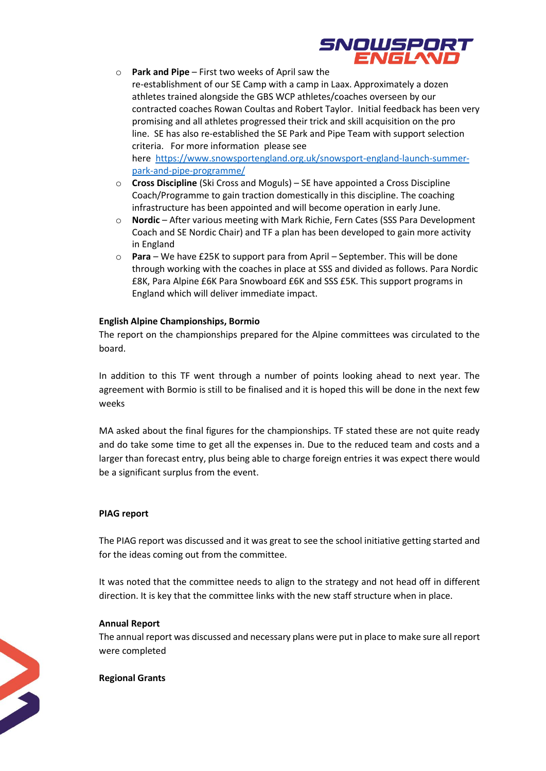

- o **Park and Pipe** First two weeks of April saw the re-establishment of our SE Camp with a camp in Laax. Approximately a dozen athletes trained alongside the GBS WCP athletes/coaches overseen by our contracted coaches Rowan Coultas and Robert Taylor. Initial feedback has been very promising and all athletes progressed their trick and skill acquisition on the pro line. SE has also re-established the SE Park and Pipe Team with support selection criteria. For more information please see here [https://www.snowsportengland.org.uk/snowsport-england-launch-summer](https://www.snowsportengland.org.uk/snowsport-england-launch-summer-park-and-pipe-programme/)[park-and-pipe-programme/](https://www.snowsportengland.org.uk/snowsport-england-launch-summer-park-and-pipe-programme/)
- o **Cross Discipline** (Ski Cross and Moguls) SE have appointed a Cross Discipline Coach/Programme to gain traction domestically in this discipline. The coaching infrastructure has been appointed and will become operation in early June.
- o **Nordic** After various meeting with Mark Richie, Fern Cates (SSS Para Development Coach and SE Nordic Chair) and TF a plan has been developed to gain more activity in England
- o **Para**  We have £25K to support para from April September. This will be done through working with the coaches in place at SSS and divided as follows. Para Nordic £8K, Para Alpine £6K Para Snowboard £6K and SSS £5K. This support programs in England which will deliver immediate impact.

# **English Alpine Championships, Bormio**

The report on the championships prepared for the Alpine committees was circulated to the board.

In addition to this TF went through a number of points looking ahead to next year. The agreement with Bormio is still to be finalised and it is hoped this will be done in the next few weeks

MA asked about the final figures for the championships. TF stated these are not quite ready and do take some time to get all the expenses in. Due to the reduced team and costs and a larger than forecast entry, plus being able to charge foreign entries it was expect there would be a significant surplus from the event.

## **PIAG report**

The PIAG report was discussed and it was great to see the school initiative getting started and for the ideas coming out from the committee.

It was noted that the committee needs to align to the strategy and not head off in different direction. It is key that the committee links with the new staff structure when in place.

## **Annual Report**

The annual report was discussed and necessary plans were put in place to make sure all report were completed